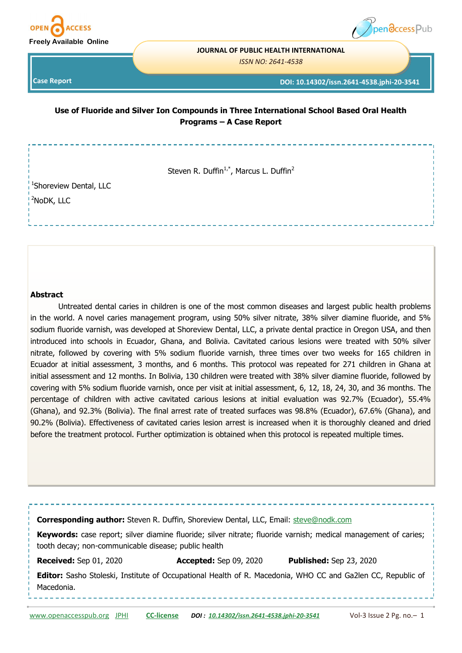



**JOURNAL OF PUBLIC HEALTH INTERNATIONAL** 

*ISSN NO: 2641-4538* 

**Case Report** 

**DOI: 10.14302/issn.2641-4538.jphi-20-3541**

**Use of Fluoride and Silver Ion Compounds in Three International School Based Oral Health Programs – A Case Report**

Steven R. Duffin<sup>1,\*</sup>, Marcus L. Duffin<sup>2</sup>

<sup>1</sup>Shoreview Dental, LLC <sup>2</sup>NoDK, LLC

### **Abstract**

Untreated dental caries in children is one of the most common diseases and largest public health problems in the world. A novel caries management program, using 50% silver nitrate, 38% silver diamine fluoride, and 5% sodium fluoride varnish, was developed at Shoreview Dental, LLC, a private dental practice in Oregon USA, and then introduced into schools in Ecuador, Ghana, and Bolivia. Cavitated carious lesions were treated with 50% silver nitrate, followed by covering with 5% sodium fluoride varnish, three times over two weeks for 165 children in Ecuador at initial assessment, 3 months, and 6 months. This protocol was repeated for 271 children in Ghana at initial assessment and 12 months. In Bolivia, 130 children were treated with 38% silver diamine fluoride, followed by covering with 5% sodium fluoride varnish, once per visit at initial assessment, 6, 12, 18, 24, 30, and 36 months. The percentage of children with active cavitated carious lesions at initial evaluation was 92.7% (Ecuador), 55.4% (Ghana), and 92.3% (Bolivia). The final arrest rate of treated surfaces was 98.8% (Ecuador), 67.6% (Ghana), and 90.2% (Bolivia). Effectiveness of cavitated caries lesion arrest is increased when it is thoroughly cleaned and dried before the treatment protocol. Further optimization is obtained when this protocol is repeated multiple times.

| Corresponding author: Steven R. Duffin, Shoreview Dental, LLC, Email: steve@nodk.com |                               |                                                                                                                    |
|--------------------------------------------------------------------------------------|-------------------------------|--------------------------------------------------------------------------------------------------------------------|
| tooth decay; non-communicable disease; public health                                 |                               | Keywords: case report; silver diamine fluoride; silver nitrate; fluoride varnish; medical management of caries;    |
| <b>Received:</b> Sep 01, 2020                                                        | <b>Accepted:</b> Sep 09, 2020 | <b>Published:</b> Sep 23, 2020                                                                                     |
| Macedonia.                                                                           |                               | <b>Editor:</b> Sasho Stoleski, Institute of Occupational Health of R. Macedonia, WHO CC and Ga2len CC, Republic of |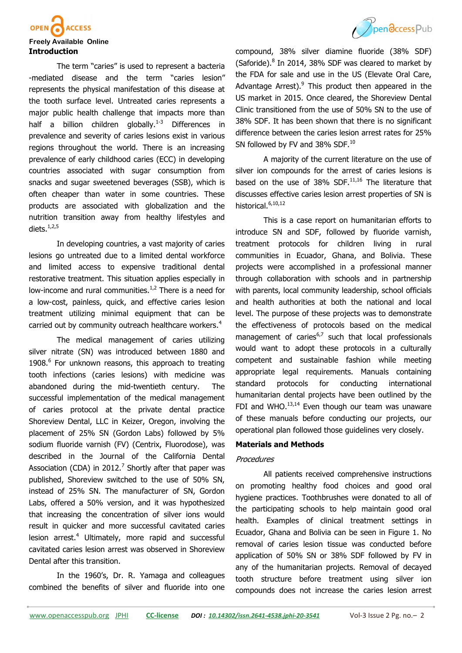

#### **Freely Available Online Introduction**

The term "caries" is used to represent a bacteria -mediated disease and the term "caries lesion" represents the physical manifestation of this disease at the tooth surface level. Untreated caries represents a major public health challenge that impacts more than half a billion children globally.<sup>1-3</sup> Differences in prevalence and severity of caries lesions exist in various regions throughout the world. There is an increasing prevalence of early childhood caries (ECC) in developing countries associated with sugar consumption from snacks and sugar sweetened beverages (SSB), which is often cheaper than water in some countries. These products are associated with globalization and the nutrition transition away from healthy lifestyles and diets. $1,2,5$ 

In developing countries, a vast majority of caries lesions go untreated due to a limited dental workforce and limited access to expensive traditional dental restorative treatment. This situation applies especially in low-income and rural communities. $1/2$  There is a need for a low-cost, painless, quick, and effective caries lesion treatment utilizing minimal equipment that can be carried out by community outreach healthcare workers.<sup>4</sup>

The medical management of caries utilizing silver nitrate (SN) was introduced between 1880 and 1908.<sup>6</sup> For unknown reasons, this approach to treating tooth infections (caries lesions) with medicine was abandoned during the mid-twentieth century. The successful implementation of the medical management of caries protocol at the private dental practice Shoreview Dental, LLC in Keizer, Oregon, involving the placement of 25% SN (Gordon Labs) followed by 5% sodium fluoride varnish (FV) (Centrix, Fluorodose), was described in the Journal of the California Dental Association (CDA) in 2012.<sup>7</sup> Shortly after that paper was published, Shoreview switched to the use of 50% SN, instead of 25% SN. The manufacturer of SN, Gordon Labs, offered a 50% version, and it was hypothesized that increasing the concentration of silver ions would result in quicker and more successful cavitated caries lesion arrest. $4$  Ultimately, more rapid and successful cavitated caries lesion arrest was observed in Shoreview Dental after this transition.

In the 1960's, Dr. R. Yamaga and colleagues combined the benefits of silver and fluoride into one



compound, 38% silver diamine fluoride (38% SDF) (Saforide). $8$  In 2014, 38% SDF was cleared to market by the FDA for sale and use in the US (Elevate Oral Care, Advantage Arrest).<sup>9</sup> This product then appeared in the US market in 2015. Once cleared, the Shoreview Dental Clinic transitioned from the use of 50% SN to the use of 38% SDF. It has been shown that there is no significant difference between the caries lesion arrest rates for 25% SN followed by FV and 38% SDF.<sup>10</sup>

A majority of the current literature on the use of silver ion compounds for the arrest of caries lesions is based on the use of  $38\%$  SDF.<sup>11,16</sup> The literature that discusses effective caries lesion arrest properties of SN is historical.<sup>6,10,12</sup>

This is a case report on humanitarian efforts to introduce SN and SDF, followed by fluoride varnish, treatment protocols for children living in rural communities in Ecuador, Ghana, and Bolivia. These projects were accomplished in a professional manner through collaboration with schools and in partnership with parents, local community leadership, school officials and health authorities at both the national and local level. The purpose of these projects was to demonstrate the effectiveness of protocols based on the medical management of caries $6,7$  such that local professionals would want to adopt these protocols in a culturally competent and sustainable fashion while meeting appropriate legal requirements. Manuals containing standard protocols for conducting international humanitarian dental projects have been outlined by the FDI and WHO. $13,14$  Even though our team was unaware of these manuals before conducting our projects, our operational plan followed those guidelines very closely.

#### **Materials and Methods**

## **Procedures**

All patients received comprehensive instructions on promoting healthy food choices and good oral hygiene practices. Toothbrushes were donated to all of the participating schools to help maintain good oral health. Examples of clinical treatment settings in Ecuador, Ghana and Bolivia can be seen in Figure 1. No removal of caries lesion tissue was conducted before application of 50% SN or 38% SDF followed by FV in any of the humanitarian projects. Removal of decayed tooth structure before treatment using silver ion compounds does not increase the caries lesion arrest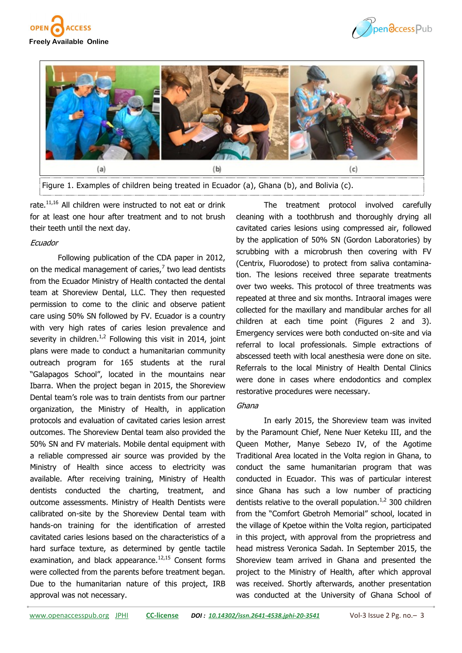





rate.<sup>11,16</sup> All children were instructed to not eat or drink for at least one hour after treatment and to not brush their teeth until the next day.

### Ecuador

Following publication of the CDA paper in 2012, on the medical management of caries, $<sup>7</sup>$  two lead dentists</sup> from the Ecuador Ministry of Health contacted the dental team at Shoreview Dental, LLC. They then requested permission to come to the clinic and observe patient care using 50% SN followed by FV. Ecuador is a country with very high rates of caries lesion prevalence and severity in children.<sup>1,2</sup> Following this visit in 2014, joint plans were made to conduct a humanitarian community outreach program for 165 students at the rural "Galapagos School", located in the mountains near Ibarra. When the project began in 2015, the Shoreview Dental team's role was to train dentists from our partner organization, the Ministry of Health, in application protocols and evaluation of cavitated caries lesion arrest outcomes. The Shoreview Dental team also provided the 50% SN and FV materials. Mobile dental equipment with a reliable compressed air source was provided by the Ministry of Health since access to electricity was available. After receiving training, Ministry of Health dentists conducted the charting, treatment, and outcome assessments. Ministry of Health Dentists were calibrated on-site by the Shoreview Dental team with hands-on training for the identification of arrested cavitated caries lesions based on the characteristics of a hard surface texture, as determined by gentle tactile examination, and black appearance. $12,15$  Consent forms were collected from the parents before treatment began. Due to the humanitarian nature of this project, IRB approval was not necessary.

The treatment protocol involved carefully cleaning with a toothbrush and thoroughly drying all cavitated caries lesions using compressed air, followed by the application of 50% SN (Gordon Laboratories) by scrubbing with a microbrush then covering with FV (Centrix, Fluorodose) to protect from saliva contamination. The lesions received three separate treatments over two weeks. This protocol of three treatments was repeated at three and six months. Intraoral images were collected for the maxillary and mandibular arches for all children at each time point (Figures 2 and 3). Emergency services were both conducted on-site and via referral to local professionals. Simple extractions of abscessed teeth with local anesthesia were done on site. Referrals to the local Ministry of Health Dental Clinics were done in cases where endodontics and complex restorative procedures were necessary.

#### Ghana

In early 2015, the Shoreview team was invited by the Paramount Chief, Nene Nuer Keteku III, and the Queen Mother, Manye Sebezo IV, of the Agotime Traditional Area located in the Volta region in Ghana, to conduct the same humanitarian program that was conducted in Ecuador. This was of particular interest since Ghana has such a low number of practicing dentists relative to the overall population. $1/2$  300 children from the "Comfort Gbetroh Memorial" school, located in the village of Kpetoe within the Volta region, participated in this project, with approval from the proprietress and head mistress Veronica Sadah. In September 2015, the Shoreview team arrived in Ghana and presented the project to the Ministry of Health, after which approval was received. Shortly afterwards, another presentation was conducted at the University of Ghana School of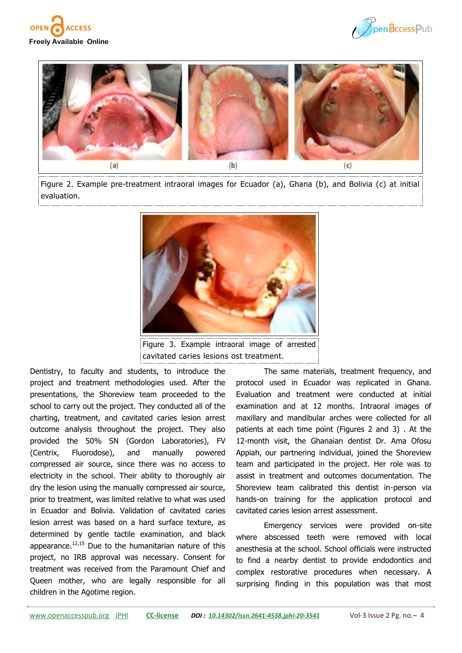





Figure 2. Example pre-treatment intraoral images for Ecuador (a), Ghana (b), and Bolivia (c) at initial evaluation.



cavitated caries lesions ost treatment.

Dentistry, to faculty and students, to introduce the project and treatment methodologies used. After the presentations, the Shoreview team proceeded to the school to carry out the project. They conducted all of the charting, treatment, and cavitated caries lesion arrest outcome analysis throughout the project. They also provided the 50% SN (Gordon Laboratories), FV (Centrix, Fluorodose), and manually powered compressed air source, since there was no access to electricity in the school. Their ability to thoroughly air dry the lesion using the manually compressed air source, prior to treatment, was limited relative to what was used in Ecuador and Bolivia. Validation of cavitated caries lesion arrest was based on a hard surface texture, as determined by gentle tactile examination, and black appearance. $12,15$  Due to the humanitarian nature of this project, no IRB approval was necessary. Consent for treatment was received from the Paramount Chief and Queen mother, who are legally responsible for all children in the Agotime region.

The same materials, treatment frequency, and protocol used in Ecuador was replicated in Ghana. Evaluation and treatment were conducted at initial examination and at 12 months. Intraoral images of maxillary and mandibular arches were collected for all patients at each time point (Figures 2 and 3) . At the 12-month visit, the Ghanaian dentist Dr. Ama Ofosu Appiah, our partnering individual, joined the Shoreview team and participated in the project. Her role was to assist in treatment and outcomes documentation. The Shoreview team calibrated this dentist in-person via hands-on training for the application protocol and cavitated caries lesion arrest assessment.

Emergency services were provided on-site where abscessed teeth were removed with local anesthesia at the school. School officials were instructed to find a nearby dentist to provide endodontics and complex restorative procedures when necessary. A surprising finding in this population was that most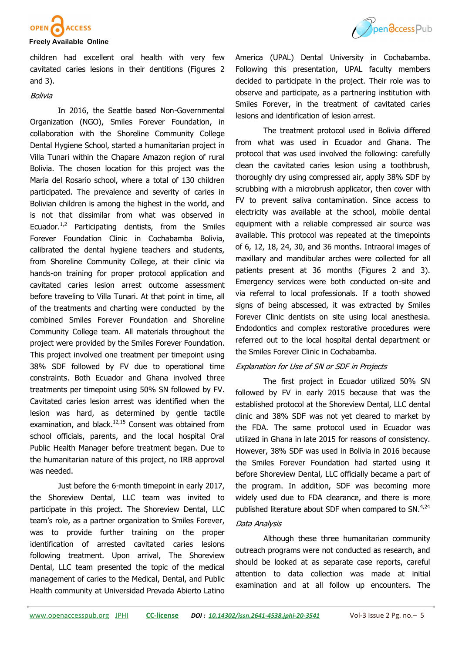

children had excellent oral health with very few cavitated caries lesions in their dentitions (Figures 2 and 3).

### Bolivia

In 2016, the Seattle based Non-Governmental Organization (NGO), Smiles Forever Foundation, in collaboration with the Shoreline Community College Dental Hygiene School, started a humanitarian project in Villa Tunari within the Chapare Amazon region of rural Bolivia. The chosen location for this project was the Maria del Rosario school, where a total of 130 children participated. The prevalence and severity of caries in Bolivian children is among the highest in the world, and is not that dissimilar from what was observed in Ecuador. $1/2$  Participating dentists, from the Smiles Forever Foundation Clinic in Cochabamba Bolivia, calibrated the dental hygiene teachers and students, from Shoreline Community College, at their clinic via hands-on training for proper protocol application and cavitated caries lesion arrest outcome assessment before traveling to Villa Tunari. At that point in time, all of the treatments and charting were conducted by the combined Smiles Forever Foundation and Shoreline Community College team. All materials throughout the project were provided by the Smiles Forever Foundation. This project involved one treatment per timepoint using 38% SDF followed by FV due to operational time constraints. Both Ecuador and Ghana involved three treatments per timepoint using 50% SN followed by FV. Cavitated caries lesion arrest was identified when the lesion was hard, as determined by gentle tactile examination, and black. $12,15$  Consent was obtained from school officials, parents, and the local hospital Oral Public Health Manager before treatment began. Due to the humanitarian nature of this project, no IRB approval was needed.

Just before the 6-month timepoint in early 2017, the Shoreview Dental, LLC team was invited to participate in this project. The Shoreview Dental, LLC team's role, as a partner organization to Smiles Forever, was to provide further training on the proper identification of arrested cavitated caries lesions following treatment. Upon arrival, The Shoreview Dental, LLC team presented the topic of the medical management of caries to the Medical, Dental, and Public Health community at Universidad Prevada Abierto Latino



America (UPAL) Dental University in Cochabamba. Following this presentation, UPAL faculty members decided to participate in the project. Their role was to observe and participate, as a partnering institution with Smiles Forever, in the treatment of cavitated caries lesions and identification of lesion arrest.

The treatment protocol used in Bolivia differed from what was used in Ecuador and Ghana. The protocol that was used involved the following: carefully clean the cavitated caries lesion using a toothbrush, thoroughly dry using compressed air, apply 38% SDF by scrubbing with a microbrush applicator, then cover with FV to prevent saliva contamination. Since access to electricity was available at the school, mobile dental equipment with a reliable compressed air source was available. This protocol was repeated at the timepoints of 6, 12, 18, 24, 30, and 36 months. Intraoral images of maxillary and mandibular arches were collected for all patients present at 36 months (Figures 2 and 3). Emergency services were both conducted on-site and via referral to local professionals. If a tooth showed signs of being abscessed, it was extracted by Smiles Forever Clinic dentists on site using local anesthesia. Endodontics and complex restorative procedures were referred out to the local hospital dental department or the Smiles Forever Clinic in Cochabamba.

## Explanation for Use of SN or SDF in Projects

The first project in Ecuador utilized 50% SN followed by FV in early 2015 because that was the established protocol at the Shoreview Dental, LLC dental clinic and 38% SDF was not yet cleared to market by the FDA. The same protocol used in Ecuador was utilized in Ghana in late 2015 for reasons of consistency. However, 38% SDF was used in Bolivia in 2016 because the Smiles Forever Foundation had started using it before Shoreview Dental, LLC officially became a part of the program. In addition, SDF was becoming more widely used due to FDA clearance, and there is more published literature about SDF when compared to SN.<sup>4,24</sup>

#### Data Analysis

Although these three humanitarian community outreach programs were not conducted as research, and should be looked at as separate case reports, careful attention to data collection was made at initial examination and at all follow up encounters. The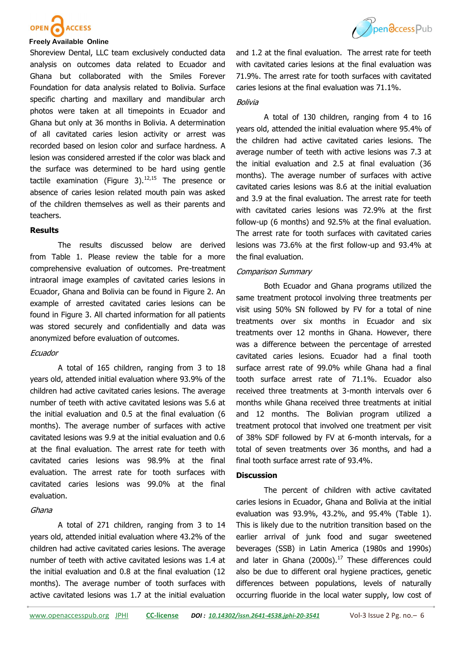

Shoreview Dental, LLC team exclusively conducted data analysis on outcomes data related to Ecuador and Ghana but collaborated with the Smiles Forever Foundation for data analysis related to Bolivia. Surface specific charting and maxillary and mandibular arch photos were taken at all timepoints in Ecuador and Ghana but only at 36 months in Bolivia. A determination of all cavitated caries lesion activity or arrest was recorded based on lesion color and surface hardness. A lesion was considered arrested if the color was black and the surface was determined to be hard using gentle tactile examination (Figure 3). $12,15$  The presence or absence of caries lesion related mouth pain was asked of the children themselves as well as their parents and teachers.

#### **Results**

The results discussed below are derived from Table 1. Please review the table for a more comprehensive evaluation of outcomes. Pre-treatment intraoral image examples of cavitated caries lesions in Ecuador, Ghana and Bolivia can be found in Figure 2. An example of arrested cavitated caries lesions can be found in Figure 3. All charted information for all patients was stored securely and confidentially and data was anonymized before evaluation of outcomes.

## **Ecuador**

A total of 165 children, ranging from 3 to 18 years old, attended initial evaluation where 93.9% of the children had active cavitated caries lesions. The average number of teeth with active cavitated lesions was 5.6 at the initial evaluation and 0.5 at the final evaluation (6 months). The average number of surfaces with active cavitated lesions was 9.9 at the initial evaluation and 0.6 at the final evaluation. The arrest rate for teeth with cavitated caries lesions was 98.9% at the final evaluation. The arrest rate for tooth surfaces with cavitated caries lesions was 99.0% at the final evaluation.

#### Ghana

A total of 271 children, ranging from 3 to 14 years old, attended initial evaluation where 43.2% of the children had active cavitated caries lesions. The average number of teeth with active cavitated lesions was 1.4 at the initial evaluation and 0.8 at the final evaluation (12 months). The average number of tooth surfaces with active cavitated lesions was 1.7 at the initial evaluation



and 1.2 at the final evaluation. The arrest rate for teeth with cavitated caries lesions at the final evaluation was 71.9%. The arrest rate for tooth surfaces with cavitated caries lesions at the final evaluation was 71.1%.

#### Bolivia

A total of 130 children, ranging from 4 to 16 years old, attended the initial evaluation where 95.4% of the children had active cavitated caries lesions. The average number of teeth with active lesions was 7.3 at the initial evaluation and 2.5 at final evaluation (36 months). The average number of surfaces with active cavitated caries lesions was 8.6 at the initial evaluation and 3.9 at the final evaluation. The arrest rate for teeth with cavitated caries lesions was 72.9% at the first follow-up (6 months) and 92.5% at the final evaluation. The arrest rate for tooth surfaces with cavitated caries lesions was 73.6% at the first follow-up and 93.4% at the final evaluation.

#### Comparison Summary

Both Ecuador and Ghana programs utilized the same treatment protocol involving three treatments per visit using 50% SN followed by FV for a total of nine treatments over six months in Ecuador and six treatments over 12 months in Ghana. However, there was a difference between the percentage of arrested cavitated caries lesions. Ecuador had a final tooth surface arrest rate of 99.0% while Ghana had a final tooth surface arrest rate of 71.1%. Ecuador also received three treatments at 3-month intervals over 6 months while Ghana received three treatments at initial and 12 months. The Bolivian program utilized a treatment protocol that involved one treatment per visit of 38% SDF followed by FV at 6-month intervals, for a total of seven treatments over 36 months, and had a final tooth surface arrest rate of 93.4%.

#### **Discussion**

The percent of children with active cavitated caries lesions in Ecuador, Ghana and Bolivia at the initial evaluation was 93.9%, 43.2%, and 95.4% (Table 1). This is likely due to the nutrition transition based on the earlier arrival of junk food and sugar sweetened beverages (SSB) in Latin America (1980s and 1990s) and later in Ghana (2000s). $17$  These differences could also be due to different oral hygiene practices, genetic differences between populations, levels of naturally occurring fluoride in the local water supply, low cost of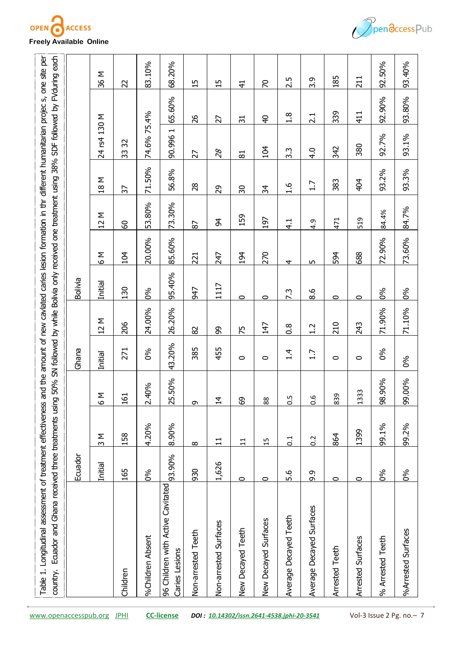



|                          |                                                     | Ecuador |                     |                     | Ghana          |                     | Bolivia  |        |                     |                    |                                    |                 |                               |
|--------------------------|-----------------------------------------------------|---------|---------------------|---------------------|----------------|---------------------|----------|--------|---------------------|--------------------|------------------------------------|-----------------|-------------------------------|
|                          |                                                     | Initial | Σ<br>$\overline{c}$ | Σ<br>$\overline{Q}$ | <b>Initial</b> | Σ<br>$\overline{c}$ | Initial  | Σ<br>Θ | Σ<br>$\overline{c}$ | Σ<br>$\frac{8}{1}$ | 24 rs4 130 M                       |                 | <b>M</b> 98                   |
|                          | Children                                            | 165     | 158                 | 161                 | 271            | 206                 | 130      | 104    | 8                   | 57                 | 32<br>33                           |                 | 22                            |
|                          | %Children Absent                                    | 0%      | 4.20%               | 2.40%               | 0%             | 24.00%              | $\delta$ | 20.00% | 53.80%              | 71.50%             | 74.6% 75.4%                        |                 | 83.10%                        |
|                          | 96 Children with Active Cavitated<br>Caries Lesions | 93.90%  | 8.90%               | 25.50%              | 43.20%         | 26.20%              | 95.40%   | 85.60% | 73.30%              | 56.8%              | $\overline{\phantom{0}}$<br>90.996 | 65.60%          | 68.20%                        |
|                          | Non-arrested<br>Teeth                               | 930     | $\infty$            | G                   | 385            | 82                  | 547      | 221    | 87                  | 28                 | 27                                 | 26              | 15                            |
|                          | Non-arrested Surfaces                               | 1,626   | $\Xi$               | $\vec{a}$           | 455            | 8                   | 1117     | 247    | 54                  | 29                 | $\mathcal{S}_{\mathcal{S}}$        | 27              | Б<br>$\overline{\phantom{0}}$ |
|                          | New Decayed Teeth                                   | $\circ$ | 11                  | $\overline{6}$      | 0              | 75                  | 0        | 194    | 159                 | 50                 | $\overline{8}$                     | $\overline{31}$ | $\frac{4}{1}$                 |
|                          | New Decayed Surfaces                                | $\circ$ | 15                  | $\frac{8}{8}$       | 0              | 147                 | 0        | 270    | 197                 | 34                 | 104                                | $\frac{4}{5}$   | $\mathcal{L}$                 |
|                          | Average Decayed Teeth                               | 5.6     | 0.1                 | $\overline{0}$ .5   | $\frac{1}{4}$  | $\frac{8}{1}$       | 7.3      | 4      | $\frac{1}{4}$       | $\frac{6}{1}$      | $3.\overline{3}$                   | 1.8             | 2.5                           |
|                          | Average Decayed Surfaces                            | 9.9     | 0.2                 | 0.6                 | 1.7            | 1.2                 | 8.6      | Б      | 4.9                 | 1.7                | 4.0                                | 2.1             | 3.9                           |
|                          | <b>Arrested Teeth</b>                               | $\circ$ | 864                 | 839                 | $\circ$        | 210                 | $\circ$  | 594    | 471                 | 383                | 342                                | 339             | 185                           |
|                          | Arrested Surfaces                                   | $\circ$ | 1399                | 33<br>$\frac{3}{1}$ | $\circ$        | 243                 | $\circ$  | 688    | 519                 | 404                | 380                                | 411             | 211                           |
|                          | % Arrested Teeth                                    | 0%      | 99.1%               | 98.90%              | $\delta$       | 71.90%              | 0%       | 72.90% | 84.4%               | 93.2%              | 92.7%                              | 92.90%          | 92.50%                        |
|                          | %Arrested Surfaces                                  | 0%      | 99.2%               | 99.00%              | 0%             | 71.10%              | 0%       | 73.60% | 84.7%               | 93.3%              | 93.1%                              | 93.80%          | 93.40%                        |
| Vol-3 Issue 2 Pg. no.- 7 |                                                     |         |                     |                     |                |                     |          |        |                     |                    |                                    |                 |                               |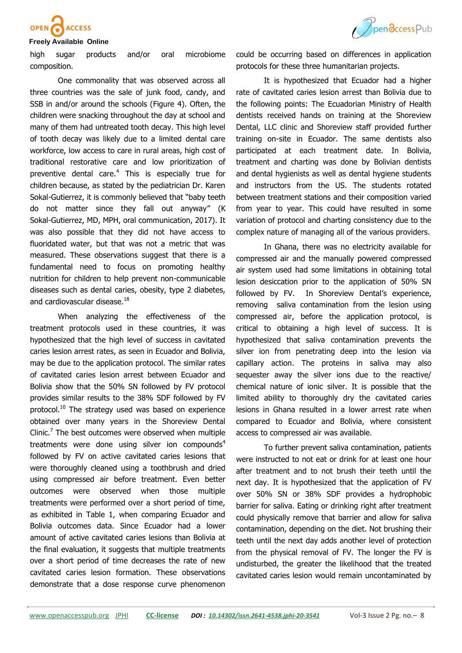

# Pendccess Pub

#### **Freely Available Online**

high sugar products and/or oral microbiome composition.

One commonality that was observed across all three countries was the sale of junk food, candy, and SSB in and/or around the schools (Figure 4). Often, the children were snacking throughout the day at school and many of them had untreated tooth decay. This high level of tooth decay was likely due to a limited dental care workforce, low access to care in rural areas, high cost of traditional restorative care and low prioritization of preventive dental care.<sup>4</sup> This is especially true for children because, as stated by the pediatrician Dr. Karen Sokal-Gutierrez, it is commonly believed that "baby teeth do not matter since they fall out anyway" (K Sokal-Gutierrez, MD, MPH, oral communication, 2017). It was also possible that they did not have access to fluoridated water, but that was not a metric that was measured. These observations suggest that there is a fundamental need to focus on promoting healthy nutrition for children to help prevent non-communicable diseases such as dental caries, obesity, type 2 diabetes, and cardiovascular disease.<sup>18</sup>

When analyzing the effectiveness of the treatment protocols used in these countries, it was hypothesized that the high level of success in cavitated caries lesion arrest rates, as seen in Ecuador and Bolivia, may be due to the application protocol. The similar rates of cavitated caries lesion arrest between Ecuador and Bolivia show that the 50% SN followed by FV protocol provides similar results to the 38% SDF followed by FV protocol.<sup>10</sup> The strategy used was based on experience obtained over many years in the Shoreview Dental Clinic. $<sup>7</sup>$  The best outcomes were observed when multiple</sup> treatments were done using silver ion compounds $4$ followed by FV on active cavitated caries lesions that were thoroughly cleaned using a toothbrush and dried using compressed air before treatment. Even better outcomes were observed when those multiple treatments were performed over a short period of time, as exhibited in Table 1, when comparing Ecuador and Bolivia outcomes data. Since Ecuador had a lower amount of active cavitated caries lesions than Bolivia at the final evaluation, it suggests that multiple treatments over a short period of time decreases the rate of new cavitated caries lesion formation. These observations demonstrate that a dose response curve phenomenon

could be occurring based on differences in application protocols for these three humanitarian projects.

It is hypothesized that Ecuador had a higher rate of cavitated caries lesion arrest than Bolivia due to the following points: The Ecuadorian Ministry of Health dentists received hands on training at the Shoreview Dental, LLC clinic and Shoreview staff provided further training on-site in Ecuador. The same dentists also participated at each treatment date. In Bolivia, treatment and charting was done by Bolivian dentists and dental hygienists as well as dental hygiene students and instructors from the US. The students rotated between treatment stations and their composition varied from year to year. This could have resulted in some variation of protocol and charting consistency due to the complex nature of managing all of the various providers.

In Ghana, there was no electricity available for compressed air and the manually powered compressed air system used had some limitations in obtaining total lesion desiccation prior to the application of 50% SN followed by FV. In Shoreview Dental's experience, removing saliva contamination from the lesion using compressed air, before the application protocol, is critical to obtaining a high level of success. It is hypothesized that saliva contamination prevents the silver ion from penetrating deep into the lesion via capillary action. The proteins in saliva may also sequester away the silver ions due to the reactive/ chemical nature of ionic silver. It is possible that the limited ability to thoroughly dry the cavitated caries lesions in Ghana resulted in a lower arrest rate when compared to Ecuador and Bolivia, where consistent access to compressed air was available.

To further prevent saliva contamination, patients were instructed to not eat or drink for at least one hour after treatment and to not brush their teeth until the next day. It is hypothesized that the application of FV over 50% SN or 38% SDF provides a hydrophobic barrier for saliva. Eating or drinking right after treatment could physically remove that barrier and allow for saliva contamination, depending on the diet. Not brushing their teeth until the next day adds another level of protection from the physical removal of FV. The longer the FV is undisturbed, the greater the likelihood that the treated cavitated caries lesion would remain uncontaminated by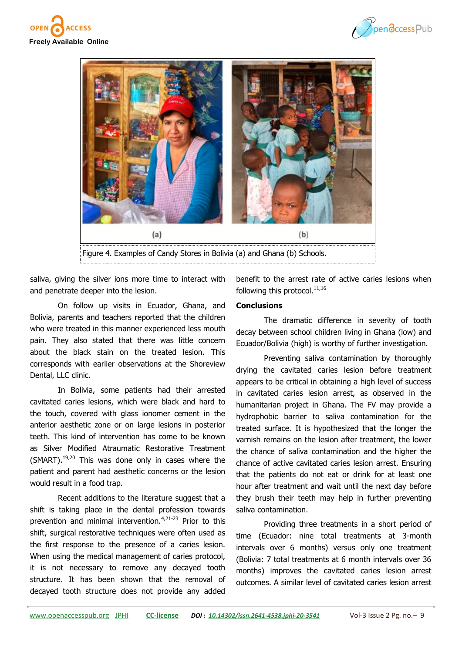





saliva, giving the silver ions more time to interact with and penetrate deeper into the lesion.

On follow up visits in Ecuador, Ghana, and Bolivia, parents and teachers reported that the children who were treated in this manner experienced less mouth pain. They also stated that there was little concern about the black stain on the treated lesion. This corresponds with earlier observations at the Shoreview Dental, LLC clinic.

In Bolivia, some patients had their arrested cavitated caries lesions, which were black and hard to the touch, covered with glass ionomer cement in the anterior aesthetic zone or on large lesions in posterior teeth. This kind of intervention has come to be known as Silver Modified Atraumatic Restorative Treatment (SMART). $19,20$  This was done only in cases where the patient and parent had aesthetic concerns or the lesion would result in a food trap.

Recent additions to the literature suggest that a shift is taking place in the dental profession towards prevention and minimal intervention.<sup>4,21-23</sup> Prior to this shift, surgical restorative techniques were often used as the first response to the presence of a caries lesion. When using the medical management of caries protocol, it is not necessary to remove any decayed tooth structure. It has been shown that the removal of decayed tooth structure does not provide any added

benefit to the arrest rate of active caries lesions when following this protocol. $11,16$ 

## **Conclusions**

The dramatic difference in severity of tooth decay between school children living in Ghana (low) and Ecuador/Bolivia (high) is worthy of further investigation.

Preventing saliva contamination by thoroughly drying the cavitated caries lesion before treatment appears to be critical in obtaining a high level of success in cavitated caries lesion arrest, as observed in the humanitarian project in Ghana. The FV may provide a hydrophobic barrier to saliva contamination for the treated surface. It is hypothesized that the longer the varnish remains on the lesion after treatment, the lower the chance of saliva contamination and the higher the chance of active cavitated caries lesion arrest. Ensuring that the patients do not eat or drink for at least one hour after treatment and wait until the next day before they brush their teeth may help in further preventing saliva contamination.

Providing three treatments in a short period of time (Ecuador: nine total treatments at 3-month intervals over 6 months) versus only one treatment (Bolivia: 7 total treatments at 6 month intervals over 36 months) improves the cavitated caries lesion arrest outcomes. A similar level of cavitated caries lesion arrest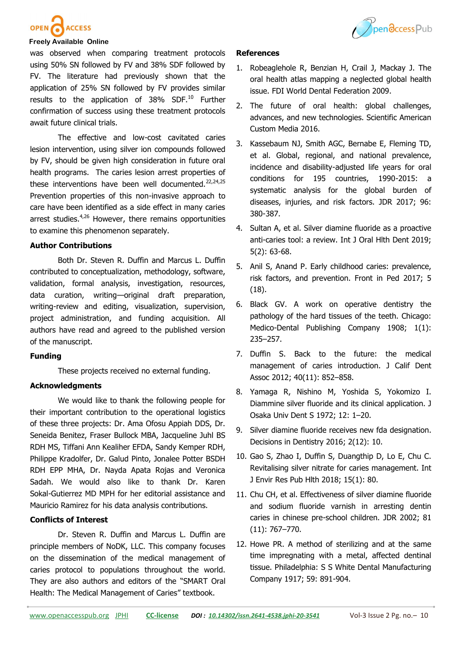

# **ACCESS**

#### **Freely Available Online**

was observed when comparing treatment protocols using 50% SN followed by FV and 38% SDF followed by FV. The literature had previously shown that the application of 25% SN followed by FV provides similar results to the application of 38% SDF.<sup>10</sup> Further confirmation of success using these treatment protocols await future clinical trials.

The effective and low-cost cavitated caries lesion intervention, using silver ion compounds followed by FV, should be given high consideration in future oral health programs. The caries lesion arrest properties of these interventions have been well documented.<sup>22,24,25</sup> Prevention properties of this non-invasive approach to care have been identified as a side effect in many caries arrest studies. $4,26$  However, there remains opportunities to examine this phenomenon separately.

#### **Author Contributions**

Both Dr. Steven R. Duffin and Marcus L. Duffin contributed to conceptualization, methodology, software, validation, formal analysis, investigation, resources, data curation, writing—original draft preparation, writing-review and editing, visualization, supervision, project administration, and funding acquisition. All authors have read and agreed to the published version of the manuscript.

#### **Funding**

These projects received no external funding.

## **Acknowledgments**

We would like to thank the following people for their important contribution to the operational logistics of these three projects: Dr. Ama Ofosu Appiah DDS, Dr. Seneida Benitez, Fraser Bullock MBA, Jacqueline Juhl BS RDH MS, Tiffani Ann Kealiher EFDA, Sandy Kemper RDH, Philippe Kradolfer, Dr. Galud Pinto, Jonalee Potter BSDH RDH EPP MHA, Dr. Nayda Apata Rojas and Veronica Sadah. We would also like to thank Dr. Karen Sokal-Gutierrez MD MPH for her editorial assistance and Mauricio Ramirez for his data analysis contributions.

#### **Conflicts of Interest**

Dr. Steven R. Duffin and Marcus L. Duffin are principle members of NoDK, LLC. This company focuses on the dissemination of the medical management of caries protocol to populations throughout the world. They are also authors and editors of the "SMART Oral Health: The Medical Management of Caries" textbook.

#### **References**

- 1. Robeaglehole R, Benzian H, Crail J, Mackay J. The oral health atlas mapping a neglected global health issue. FDI World Dental Federation 2009.
- 2. The future of oral health: global challenges, advances, and new technologies. Scientific American Custom Media 2016.
- 3. Kassebaum NJ, Smith AGC, Bernabe E, Fleming TD, et al. Global, regional, and national prevalence, incidence and disability-adjusted life years for oral conditions for 195 countries, 1990-2015: a systematic analysis for the global burden of diseases, injuries, and risk factors. JDR 2017; 96: 380-387.
- 4. Sultan A, et al. Silver diamine fluoride as a proactive anti-caries tool: a review. Int J Oral Hlth Dent 2019; 5(2): 63-68.
- 5. Anil S, Anand P. Early childhood caries: prevalence, risk factors, and prevention. Front in Ped 2017; 5 (18).
- 6. Black GV. A work on operative dentistry the pathology of the hard tissues of the teeth. Chicago: Medico-Dental Publishing Company 1908; 1(1): 235–257.
- 7. Duffin S. Back to the future: the medical management of caries introduction. J Calif Dent Assoc 2012; 40(11): 852–858.
- 8. Yamaga R, Nishino M, Yoshida S, Yokomizo I. Diammine silver fluoride and its clinical application. J Osaka Univ Dent S 1972; 12: 1–20.
- 9. Silver diamine fluoride receives new fda designation. Decisions in Dentistry 2016; 2(12): 10.
- 10. Gao S, Zhao I, Duffin S, Duangthip D, Lo E, Chu C. Revitalising silver nitrate for caries management. Int J Envir Res Pub Hlth 2018; 15(1): 80.
- 11. Chu CH, et al. Effectiveness of silver diamine fluoride and sodium fluoride varnish in arresting dentin caries in chinese pre-school children. JDR 2002; 81 (11): 767–770.
- 12. Howe PR. A method of sterilizing and at the same time impregnating with a metal, affected dentinal tissue. Philadelphia: S S White Dental Manufacturing Company 1917; 59: 891-904.